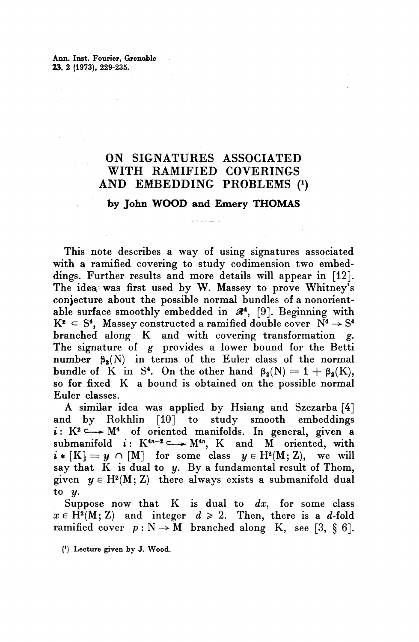Ann. Inst. Fourier, Grenoble **23,** 2 (1973), 229-235.

## ON SIGNATURES ASSOCIATED WITH RAMIFIED COVERINGS AND EMBEDDING PROBLEMS *(<sup>1</sup> )*

## **by John WOOD and Emery THOMAS**

This note describes a way of using signatures associated with a ramified covering to study codimension two embeddings. Further results and more details will appear in [12]. The idea was first used by W. Massey to prove Whitney's conjecture about the possible normal bundles of a nonorientable surface smoothly embedded in  $\mathcal{R}^4$ , [9]. Beginning with  $K^2 \subseteq S^4$ , Massey constructed a ramified double cover  $N^4 \rightarrow S^4$ branched along K and with covering transformation *g.* The signature of  $g$  provides a lower bound for the Betti number  $\beta_2(N)$  in terms of the Euler class of the normal bundle of K in S<sup>4</sup>. On the other hand  $\beta_2(N) = 1 + \beta_2(K)$ , so for fixed K a bound is obtained on the possible normal Euler classes.

A similar idea was applied by Hsiang and Szczarba [4] and by Rokhlin [10] to study smooth embeddings  $i: K^2 \longrightarrow M^4$  of oriented manifolds. In general, given a submanifold  $i: K^{4n-2} \longrightarrow M^{4n}$ , K and M oriented, with  $i * [K] = y \cap [M]$  for some class  $y \in H^2(M; Z)$ , we will say that  $K$  is dual to  $y$ . By a fundamental result of Thom, given  $y \in H^2(M; Z)$  there always exists a submanifold dual to y.

Suppose now that K is dual to *dx,* for some class  $x \in \tilde{H}^2(M; Z)$  and integer  $d \geqslant 2$ . Then, there is a *d-*fold ramified cover  $p : N \to M$  branched along K, see [3, § 6].

( 1 ) Lecture given by J. Wood.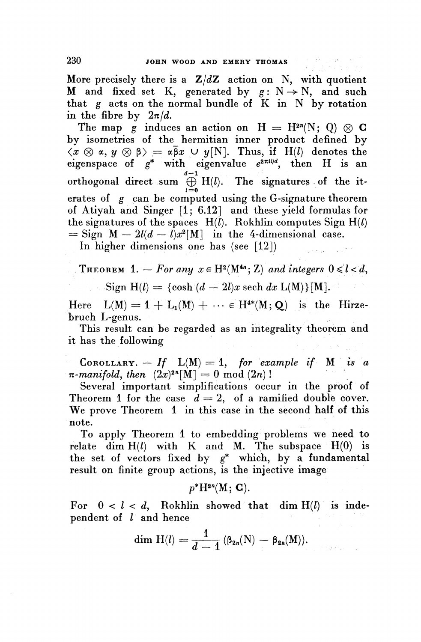More precisely there is a  $Z/dZ$  action on N, with quotient M and fixed set K, generated by  $g: N \to N$ , and such that  $g$  acts on the normal bundle of  $K$  in  $N$  by rotation in the fibre by  $2\pi/d$ .

The map g induces an action on  $H = H^{2n}(N; 0) \otimes C$ by isometries of the hermitian inner product defined by  $\langle x \otimes \alpha, y \otimes \beta \rangle = \alpha \overline{\beta} x \cup y[N]$ . Thus, if H(*l*) denotes the eigenspace of  $g^*$  with eigenvalue  $e^{2\pi i l/d}$ , then H is an  $d-1$ orthogonal direct sum  $\bigoplus_{l=0}^{d-1} H(l)$ . The signatures of the iterates of *g* can be computed using the G-signature theorem of Atiyah and Singer [1; 6.12] and these yield formulas for the signatures of the spaces  $H(l)$ . Rokhlin computes Sign  $H(l)$  $=$  Sign  $M - 2l(d - l)x^2[M]$  in the 4-dimensional case.

In higher dimensions one has (see  $[12]$ )

**THEOREM** 1.  $-$  For any  $x \in H^2(M^{4n}; \mathbb{Z})$  and integers  $0 \leq l < d$ ,

 $Sign H(l) = {cosh (d - 2l)x sech dx L(M)}$ [M].

Here  $L(M) = 1 + L_1(M) + \cdots \in H^{4*}(M; Q)$  is the Hirze**bruch L-genus.**

This result can be regarded as an integrality theorem and it has the following

**COROLLARY.**  $-$  *If*  $L(M) = 1$ , for example if M is a  $\pi$ -manifold, then  $(2x)^{2n}[M] = 0 \mod (2n)$ !

Several important simplifications occur in the proof of Theorem 1 for the case  $d = 2$ , of a ramified double cover. **We** prove Theorem 1 in this case in the second half of this note.

To apply Theorem 1 to embedding problems we need to relate dim  $H(l)$  with K and M. The subspace  $H(0)$  is the set of vectors fixed by  $g^*$  which, by a fundamental result on finite group actions, is the injective image

 $p^*H^{2n}(M; G).$ 

For  $0 < l < d$ , Rokhlin showed that dim  $H(l)$  is independent of *I* and hence

and hence  
dim H(l) = 
$$
\frac{1}{d-1} (\beta_{2n}(N) - \beta_{2n}(M)).
$$

companies of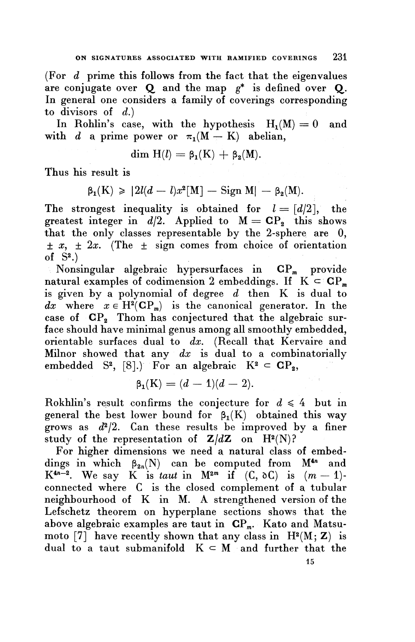(For *d* prime this follows from the fact that the eigenvalues are conjugate over Q and the map *g\** is defined over Q. In general one considers a family of coverings corresponding to divisors of  $d$ .)

In Rohlin's case, with the hypothesis  $H_1(M) = 0$  and with *d* a prime power or  $\pi_1(M - K)$  abelian,

$$
\dim H(l) = \beta_1(K) + \beta_2(M).
$$

**Thus his result is**

 $\beta_1(K) \geq 2l(d - l)x^2[M] - \text{Sign } M| - \beta_2(M).$ 

The strongest inequality is obtained for  $l=[d/2]$ , the greatest integer in  $d/2$ . Applied to  $M = CP_2$  this shows that the only classes representable by the 2-sphere are 0,  $\pm x$ ,  $\pm 2x$ . (The  $\pm$  sign comes from choice of orientation of  $S^2$ .)

Nonsingular algebraic hypersurfaces in  $\mathbf{CP}_{m}$  provide natural examples of codimension 2 embeddings. If  $K \subset CP_m$ is given by a polynomial of degree *d* then K is dual to  $dx$  where  $x \in H^2(\mathbf{CP}_m)$  is the canonical generator. In the case of  $\mathbf{CP}_{2}$  Thom has conjectured that the algebraic surface should have minimal genus among all smoothly embedded, orientable surfaces dual to *dx.* (Recall that Kervaire and Milnor showed that any *dx* is dual to a combinatorially embedded S<sup>2</sup>, [8].) For an algebraic  $K^2 \subset CP_2$ ,<br> $\beta_1(K) = (d-1)(d-2)$ .

$$
\beta_1(K)=(d-1)(d-2).
$$

Rokhlin's result confirms the conjecture for  $d \leq 4$  but in general the best lower bound for  $\beta_1(K)$  obtained this way grows as  $d^2/2$ . Can these results be improved by a finer study of the representation of  $Z/dZ$  on  $H^2(N)$ ?

For higher dimensions we need a natural class of embeddings in which  $\beta_{2n}(N)$  can be computed from  $M^{4n}$  and K<sup>4n-2</sup>. We say K is *taut* in M<sup>2m</sup> if  $(C, \delta C)$  is  $(m-1)$ connected where C is the closed complement of a tubular neighbourhood of K in M. A strengthened version of the Lefschetz theorem on hyperplane sections shows that the above algebraic examples are taut in  $\mathbf{CP}_{m}$ . Kato and Matsumoto [7] have recently shown that any class in  $H^2(M; Z)$  is dual to a taut submanifold  $K \subset M$  and further that the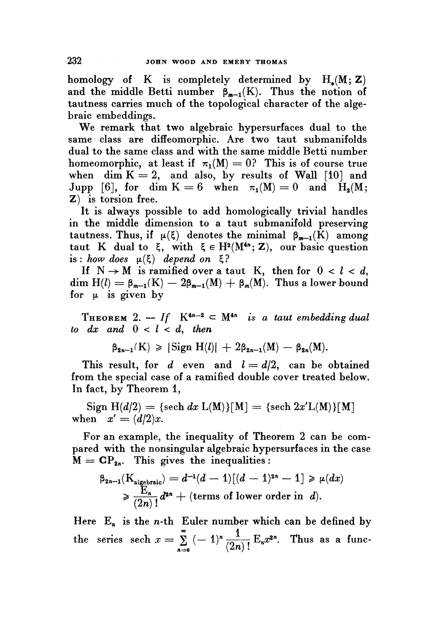homology of K is completely determined by  $H_*(M; Z)$ and the middle Betti number  $\beta_{m-1}(K)$ . Thus the notion of tautness carries much of the topological character of the algebraic embeddings.

**We** remark that two algebraic hypersurfaces dual to the same class are diffeomorphic. Are two taut submanifolds dual to the same class and with the same middle Betti number homeomorphic, at least if  $\pi_1(M) = 0$ ? This is of course true when dim  $K = 2$ , and also, by results of Wall [10] and Jupp [6], for dim  $K = 6$  when  $\pi_1(M) = 0$  and  $H_2(M;$ Z) is torsion free.

It is always possible to add homologically trivial handles in the middle dimension to a taut submanifold preserving tautness. Thus, if  $\mu(\xi)$  denotes the minimal  $\beta_{m-1}(\tilde{K})$  among taut K dual to  $\xi$ , with  $\xi \in H^2(M^{4n}; Z)$ , our basic question is : how does  $\mu(\xi)$  depend on  $\xi$ ?

If  $N \rightarrow M$  is ramified over a taut K, then for  $0 < l < d$ , dim  $H(l) = \beta_{m-1}(K) - 2\beta_{m-1}(M) + \beta_m(M)$ . Thus a lower bound for  $\mu$  is given by

THEOREM 2.  $\leftarrow$  *If*  $K^{4n-2} \subset M^{4n}$  *is a taut embedding dual to dx and*  $0 < l < d$ , *then*<br>  $\beta_{2n-1}(K) \geq |\text{Sign H}(l)| + 2\beta_{2n-1}(M) - \beta_{2n}(M).$ 

$$
\beta_{2n-1}(K) \geqslant |\operatorname{Sign} H(l)| + 2\beta_{2n-1}(M) - \beta_{2n}(M).
$$

This result, for  $d$  even and  $l = d/2$ , can be obtained from the special case of a ramified double cover treated below. In fact, by Theorem 1,

 $Sign H(d/2) = {sech dx L(M)}[M] = {sech 2x'L(M)}[M]$ when  $x' = (d/2)x$ .

For an example, the inequality of Theorem 2 can be compared with the nonsingular algebraic hypersurfaces in the case

$$
\begin{aligned}\n\mathbf{\hat{M}} &= \mathbf{CP}_{\mathbf{2}n}.\n\end{aligned}\n\text{This gives the inequalities:}\n\begin{aligned}\n\beta_{\mathbf{2}n-1}(\mathbf{K}_{\text{algebraic}}) &= d^{-1}(d-1)[(d-1)^{\mathbf{2}n}-1] \geq \mu(dx) \\
&\geq \frac{\mathbf{E}_n}{(2n)!}d^{\mathbf{2}n} + (\text{terms of lower order in } d).\n\end{aligned}
$$

Here  $E_n$  is the *n*-th Euler number which can be defined by the series sech  $x = \sum_{n=0}^{\infty} (-1)^n \frac{1}{(2n)!} E_n x^{2n}$ . Thus as a func- $\sum_{n=0}^\infty$   $\binom{n}{2n}$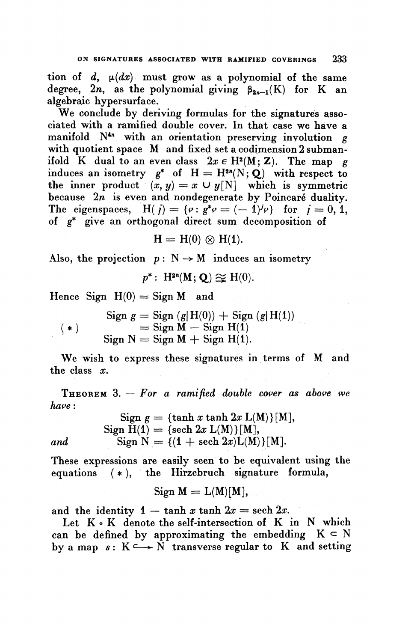tion of  $d$ ,  $\mu(dx)$  must grow as a polynomial of the same degree,  $2n$ , as the polynomial giving  $\beta_{2n-1}(K)$  for K an algebraic hypersurface.

**We** conclude by deriving formulas for the signatures associated with a ramified double cover. In that case we have a manifold N<sup>4n</sup> with an orientation preserving involution g with quotient space M and fixed set a codimension 2 submanifold K dual to an even class  $2x \in H^2(M; Z)$ . The map g induces an isometry  $g^*$  of  $H = H^{2n}(N; Q)$  with respect to the inner product  $(x, y) = x \cup y[N]$  which is symmetric because  $2n$  is even and nondegenerate by Poincaré duality. The eigenspaces,  $H(j) = \{ \varphi : g^* \varphi = (-1)^j \varphi \}$  for  $j = 0, 1$ , of g\* give an orthogonal direct sum decomposition of

$$
H = H(0) \otimes H(1).
$$

Also, the projection  $p : N \rightarrow M$  induces an isometry

 $p^*: H^{2n}(M; O) \approx H(0).$ 

Hence Sign  $H(0) =$  Sign M and

 $Sign g = Sign (g|H(0)) + Sign (g|H(1))$  $(* )$   $=$  Sign  $\widetilde{M} -$  Sign  $H(1)$  $Sign N = Sign M + Sign H(1).$ 

We wish to express these signatures in terms of M and the class *x.*

THEOREM 3. — *For a ramified double cover as above we have*:

 $Sign g = {tanh x tanh 2x L(M)}[M],$  $Sign H(1) = {sech 2x L(M)}[M],$ *and* Sign  $N = \{(1 + \text{sech } 2x)L(M)\}[M].$ 

These expressions are easily seen to be equivalent using the equations (\* ), the Hirzebruch signature formula,

$$
Sign M = L(M)[M],
$$

and the identity  $1 - \tanh x \tanh 2x = \operatorname{sech} 2x$ .

Let K . K denote the self-intersection of K in N which can be defined by approximating the embedding  $K \subset N$ by a map  $s: K \longrightarrow N$  transverse regular to K and setting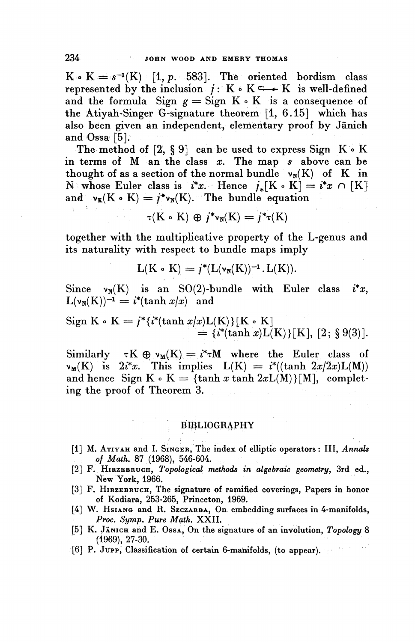$K \circ K = s^{-1}(K)$  [1, p. 583]. The oriented bordism class represented by the inclusion  $j : K \rightarrow K$  is well-defined and the formula Sign  $g =$  Sign  $K \circ K$  is a consequence of the Atiyah-Singer G-signature theorem [1, 6.15] which has also been given an independent, elementary proof by Janich and Ossa  $[5]$ .

The method of  $[2, § 9]$  can be used to express Sign  $K \cdot K$ in terms of  $M$  an the class  $x$ . The map  $s$  above can be thought of as a section of the normal bundle  $v_N(K)$  of K in N whose Euler class is  $i^*x$ . Hence  $j_*[K \circ K] = i^*x \cap [K]$ and  $v_K(K \circ K) = j^*v_N(K)$ . The bundle equation

$$
\tau(K \circ K) \oplus j^*v_N(K) = j^*\tau(K)
$$

together with the multiplicative property of the L-genus and its naturality with respect to bundle maps imply

$$
L(K \cdot K) = j^*(L(\nu_N(K))^{-1} \cdot L(K)).
$$

Since  $v_N(K)$  is an SO(2)-bundle with Euler class  $i^*x$ ,  $L(\nu_N(K))^{-1} = i^*(\tanh x/x)$  and

Sign K 
$$
\circ
$$
 K =  $j^*{i^*(\tanh x/x)L(K)}[K \circ K]$   
=  ${i^*(\tanh x)L(K)}[K], [2; \S 9(3)].$ 

Similarly  $\tau K \oplus \nu_M(K) = i^* \tau M$  where the Euler class of  $\nu_M(K)$  is  $2i^*x$ . This implies  $L(K) = i^*((\tanh 2x/2x)L(M))$ and hence Sign  $K \circ K = \{\tanh x \tanh 2xL(M)\}$ [M], complet**ing the proof of Theorem 3.**

## , BIBLIOGRAPHY

- [1] M. ATIYAH and I. SINGER, The index of elliptic operators: III, *Annals of Math.* 87 (1968), 546-604.
- [2] F. HIRZEBRUCH, *Topological methods in algebraic geometry,* 3rd ed., New York, 1966.
- [3] F. HIRZEBRUCH, The signature of ramified coverings, Papers in honor of Kodiara, 253-265, Princeton, 1969.
- [4] W. Hsiang and R. Szczarsa, On embedding surfaces in 4-manifolds, Proc. *Symp. Pure Math.* XXII.
- [5] K. JANICH and E. OssA, On the signature of an involution, *Topology* 8 (1969), 27-30.
- [6] P. JUPP, Classification of certain 6-manifotds, (to appear).